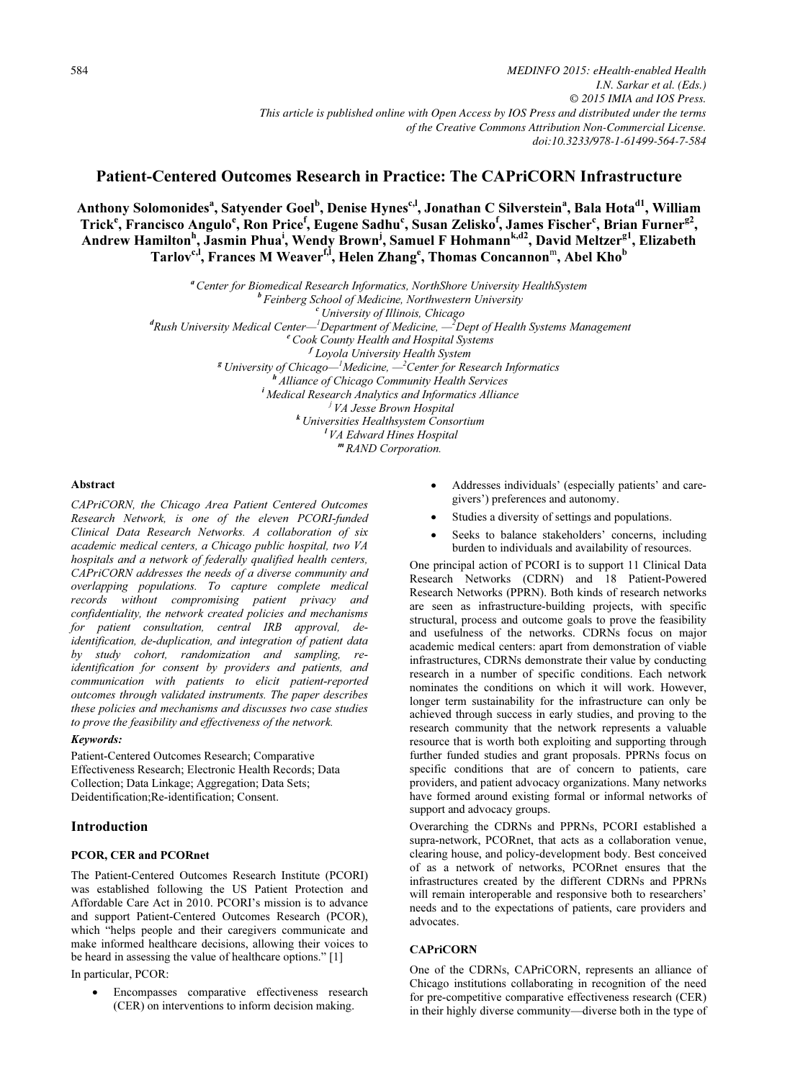# Patient-Centered Outcomes Research in Practice: The CAPriCORN Infrastructure

Anthony Solomonides<sup>a</sup>, Satyender Goel<sup>b</sup>, Denise Hynes<sup>c,I</sup>, Jonathan C<sub>.</sub> Silverstein<sup>a</sup>, Bala Hota<sup>d1</sup>, William Trick<sup>e</sup>, Francisco Angulo<sup>e</sup>, Ron Price<sup>f</sup>, Eugene Sadhu<sup>c</sup>, Susan Zelisko<sup>f</sup>, James Fischer<sup>c</sup>, Brian Furner<sup>g2</sup>, Andrew Hamilton<sup>h</sup>, Jasmin Phua<sup>i</sup>, Wendy Brown<sup>i</sup>, Samuel F Hohmann<sup>k,d2</sup>, David Meltzer<sup>g1</sup>, Elizabeth Tarlov<sup>c,I</sup>, Frances M Weaver<sup>f,I</sup>, Helen Zhang<sup>e</sup>, Thomas Concannon™, Abel Kho<sup>b</sup>

> *"* Center for Biomedical Research Informatics, NorthShore University HealthSystem<br><sup>b</sup> Feinberg School of Medicine, Northwestern University<br><sup>c</sup> University of Illinois, Chicago<br><sup>d</sup>Rush University Medical Center—<sup>1</sup>Departme <sup>f</sup> Loyola University Health System Loyola University Health System <sup>g</sup>University of Chicago—<sup>1</sup> Medicine, —<sup>2</sup> <sup>th</sup> Alliance of Chicago Community Health Services in Alliance of Chicago Community Health Services in Analytics and Informatics Alliance in  $\frac{1}{1}$  VA Jesse Brown Hospital <sup>k</sup> Universities Healthsystem Consortium <sup>l</sup>VA Edward Hines Hospital m RAND Corporation.

### Abstract

CAPriCORN, the Chicago Area Patient Centered Outcomes Research Network, is one of the eleven PCORI-funded Clinical Data Research Networks. A collaboration of six academic medical centers, a Chicago public hospital, two VA hospitals and a network of federally qualified health centers, CAPriCORN addresses the needs of a diverse community and overlapping populations. To capture complete medical records without compromising patient privacy and confidentiality, the network created policies and mechanisms for patient consultation, central IRB approval, deidentification, de-duplication, and integration of patient data by study cohort, randomization and sampling, reidentification for consent by providers and patients, and communication with patients to elicit patient-reported outcomes through validated instruments. The paper describes these policies and mechanisms and discusses two case studies to prove the feasibility and effectiveness of the network.

# Keywords:

Patient-Centered Outcomes Research; Comparative Effectiveness Research; Electronic Health Records; Data Collection; Data Linkage; Aggregation; Data Sets; Deidentification;Re-identification; Consent.

# **Introduction**

# PCOR, CER and PCORnet

The Patient-Centered Outcomes Research Institute (PCORI) was established following the US Patient Protection and Affordable Care Act in 2010. PCORI's mission is to advance and support Patient-Centered Outcomes Research (PCOR), which "helps people and their caregivers communicate and make informed healthcare decisions, allowing their voices to be heard in assessing the value of healthcare options." [1]

In particular, PCOR:

• Encompasses comparative effectiveness research (CER) on interventions to inform decision making.

- • Addresses individuals' (especially patients' and caregivers') preferences and autonomy.
- •Studies a diversity of settings and populations.
- • Seeks to balance stakeholders' concerns, including burden to individuals and availability of resources.

One principal action of PCORI is to support 11 Clinical Data Research Networks (CDRN) and 18 Patient-Powered Research Networks (PPRN). Both kinds of research networks are seen as infrastructure-building projects, with specific structural, process and outcome goals to prove the feasibility and usefulness of the networks. CDRNs focus on major academic medical centers: apart from demonstration of viable infrastructures, CDRNs demonstrate their value by conducting research in a number of specific conditions. Each network nominates the conditions on which it will work. However, longer term sustainability for the infrastructure can only be achieved through success in early studies, and proving to the research community that the network represents a valuable resource that is worth both exploiting and supporting through further funded studies and grant proposals. PPRNs focus on specific conditions that are of concern to patients, care providers, and patient advocacy organizations. Many networks have formed around existing formal or informal networks of support and advocacy groups.

Overarching the CDRNs and PPRNs, PCORI established a supra-network, PCORnet, that acts as a collaboration venue, clearing house, and policy-development body. Best conceived of as a network of networks, PCORnet ensures that the infrastructures created by the different CDRNs and PPRNs will remain interoperable and responsive both to researchers' needs and to the expectations of patients, care providers and advocates.

#### **CAPriCORN**

One of the CDRNs, CAPriCORN, represents an alliance of Chicago institutions collaborating in recognition of the need for pre-competitive comparative effectiveness research (CER) in their highly diverse community—diverse both in the type of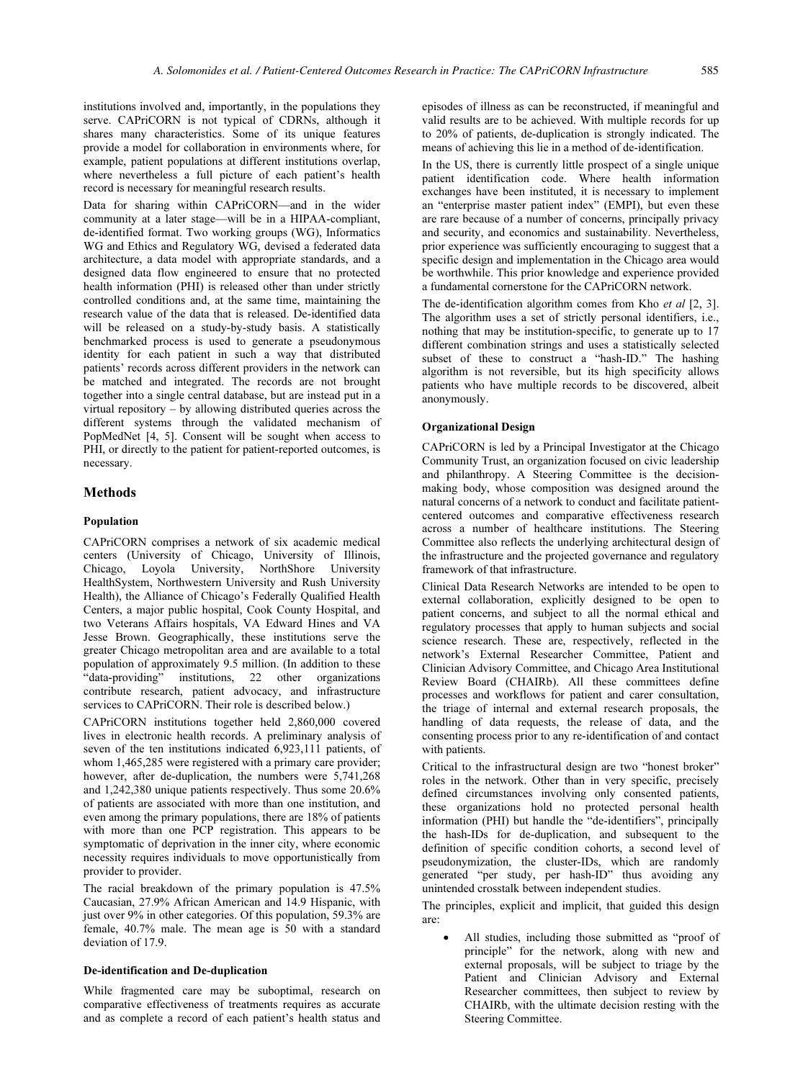institutions involved and, importantly, in the populations they serve. CAPriCORN is not typical of CDRNs, although it shares many characteristics. Some of its unique features provide a model for collaboration in environments where, for example, patient populations at different institutions overlap, where nevertheless a full picture of each patient's health record is necessary for meaningful research results.

Data for sharing within CAPriCORN—and in the wider community at a later stage—will be in a HIPAA-compliant, de-identified format. Two working groups (WG), Informatics WG and Ethics and Regulatory WG, devised a federated data architecture, a data model with appropriate standards, and a designed data flow engineered to ensure that no protected health information (PHI) is released other than under strictly controlled conditions and, at the same time, maintaining the research value of the data that is released. De-identified data will be released on a study-by-study basis. A statistically benchmarked process is used to generate a pseudonymous identity for each patient in such a way that distributed patients' records across different providers in the network can be matched and integrated. The records are not brought together into a single central database, but are instead put in a virtual repository – by allowing distributed queries across the different systems through the validated mechanism of PopMedNet [4, 5]. Consent will be sought when access to PHI, or directly to the patient for patient-reported outcomes, is necessary.

### Methods

#### Population

CAPriCORN comprises a network of six academic medical centers (University of Chicago, University of Illinois, Chicago, Loyola University, NorthShore University HealthSystem, Northwestern University and Rush University Health), the Alliance of Chicago's Federally Qualified Health Centers, a major public hospital, Cook County Hospital, and two Veterans Affairs hospitals, VA Edward Hines and VA Jesse Brown. Geographically, these institutions serve the greater Chicago metropolitan area and are available to a total population of approximately 9.5 million. (In addition to these "data-providing" institutions, 22 other organizations institutions, 22 other organizations contribute research, patient advocacy, and infrastructure services to CAPriCORN. Their role is described below.)

CAPriCORN institutions together held 2,860,000 covered lives in electronic health records. A preliminary analysis of seven of the ten institutions indicated 6,923,111 patients, of whom 1,465,285 were registered with a primary care provider; however, after de-duplication, the numbers were  $5,741,268$ and 1,242,380 unique patients respectively. Thus some 20.6% of patients are associated with more than one institution, and even among the primary populations, there are 18% of patients with more than one PCP registration. This appears to be symptomatic of deprivation in the inner city, where economic necessity requires individuals to move opportunistically from provider to provider.

The racial breakdown of the primary population is 47.5% Caucasian, 27.9% African American and 14.9 Hispanic, with just over 9% in other categories. Of this population, 59.3% are female, 40.7% male. The mean age is 50 with a standard deviation of 17.9.

### De-identification and De-duplication

While fragmented care may be suboptimal, research on comparative effectiveness of treatments requires as accurate and as complete a record of each patient's health status and episodes of illness as can be reconstructed, if meaningful and valid results are to be achieved. With multiple records for up to 20% of patients, de-duplication is strongly indicated. The means of achieving this lie in a method of de-identification.

In the US, there is currently little prospect of a single unique patient identification code. Where health information exchanges have been instituted, it is necessary to implement an "enterprise master patient index" (EMPI), but even these are rare because of a number of concerns, principally privacy and security, and economics and sustainability. Nevertheless, prior experience was sufficiently encouraging to suggest that a specific design and implementation in the Chicago area would be worthwhile. This prior knowledge and experience provided a fundamental cornerstone for the CAPriCORN network.

The de-identification algorithm comes from Kho et al [2, 3]. The algorithm uses a set of strictly personal identifiers, i.e., nothing that may be institution-specific, to generate up to 17 different combination strings and uses a statistically selected subset of these to construct a "hash-ID." The hashing algorithm is not reversible, but its high specificity allows patients who have multiple records to be discovered, albeit anonymously.

#### Organizational Design

CAPriCORN is led by a Principal Investigator at the Chicago Community Trust, an organization focused on civic leadership and philanthropy. A Steering Committee is the decisionmaking body, whose composition was designed around the natural concerns of a network to conduct and facilitate patientcentered outcomes and comparative effectiveness research across a number of healthcare institutions. The Steering Committee also reflects the underlying architectural design of the infrastructure and the projected governance and regulatory framework of that infrastructure.

Clinical Data Research Networks are intended to be open to external collaboration, explicitly designed to be open to patient concerns, and subject to all the normal ethical and regulatory processes that apply to human subjects and social science research. These are, respectively, reflected in the network's External Researcher Committee, Patient and Clinician Advisory Committee, and Chicago Area Institutional Review Board (CHAIRb). All these committees define processes and workflows for patient and carer consultation, the triage of internal and external research proposals, the handling of data requests, the release of data, and the consenting process prior to any re-identification of and contact with patients.

Critical to the infrastructural design are two "honest broker" roles in the network. Other than in very specific, precisely defined circumstances involving only consented patients, these organizations hold no protected personal health information (PHI) but handle the "de-identifiers", principally the hash-IDs for de-duplication, and subsequent to the definition of specific condition cohorts, a second level of pseudonymization, the cluster-IDs, which are randomly generated "per study, per hash-ID" thus avoiding any unintended crosstalk between independent studies.

The principles, explicit and implicit, that guided this design are:

• All studies, including those submitted as "proof of principle" for the network, along with new and external proposals, will be subject to triage by the Patient and Clinician Advisory and External Researcher committees, then subject to review by CHAIRb, with the ultimate decision resting with the Steering Committee.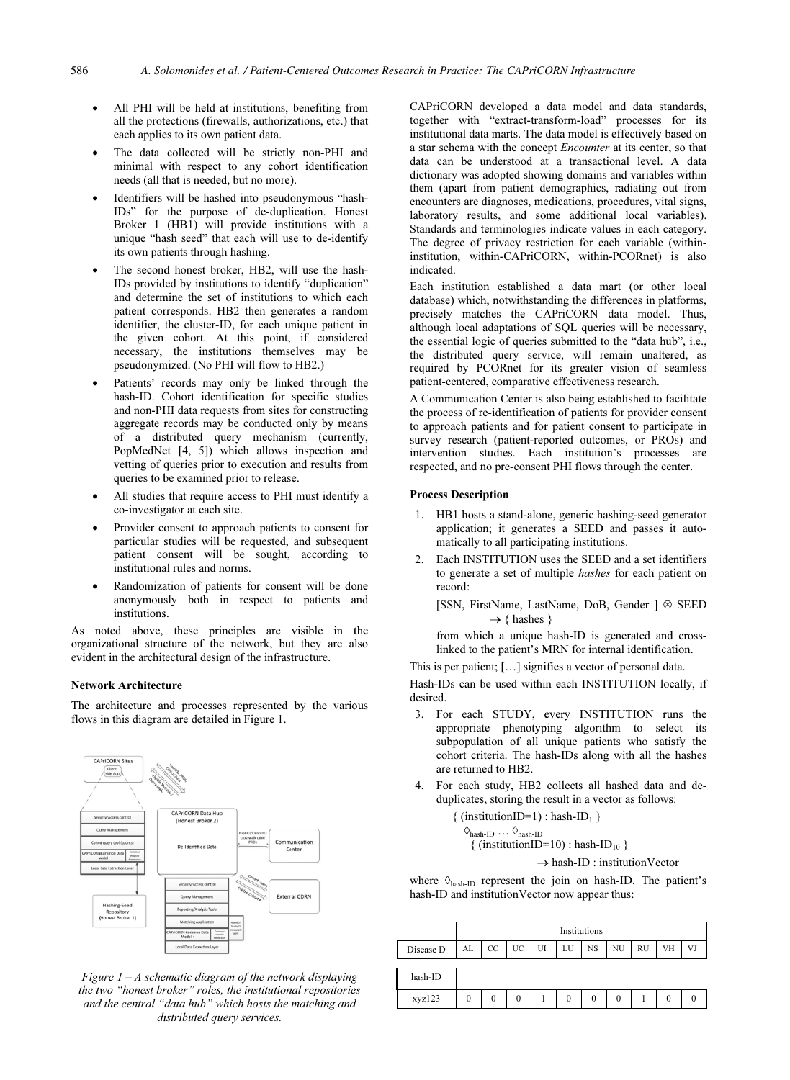- All PHI will be held at institutions, benefiting from all the protections (firewalls, authorizations, etc.) that each applies to its own patient data.
- The data collected will be strictly non-PHI and minimal with respect to any cohort identification needs (all that is needed, but no more).
- Identifiers will be hashed into pseudonymous "hash-IDs" for the purpose of de-duplication. Honest Broker 1 (HB1) will provide institutions with a unique "hash seed" that each will use to de-identify its own patients through hashing.
- The second honest broker, HB2, will use the hash-IDs provided by institutions to identify "duplication" and determine the set of institutions to which each patient corresponds. HB2 then generates a random identifier, the cluster-ID, for each unique patient in the given cohort. At this point, if considered necessary, the institutions themselves may be pseudonymized. (No PHI will flow to HB2.)
- Patients' records may only be linked through the hash-ID. Cohort identification for specific studies and non-PHI data requests from sites for constructing aggregate records may be conducted only by means of a distributed query mechanism (currently, PopMedNet [4, 5]) which allows inspection and vetting of queries prior to execution and results from queries to be examined prior to release.
- All studies that require access to PHI must identify a co-investigator at each site.
- Provider consent to approach patients to consent for particular studies will be requested, and subsequent patient consent will be sought, according to institutional rules and norms.
- Randomization of patients for consent will be done anonymously both in respect to patients and institutions.

As noted above, these principles are visible in the organizational structure of the network, but they are also evident in the architectural design of the infrastructure.

# **Network Architecture**

The architecture and processes represented by the various flows in this diagram are detailed in Figure 1.



Figure  $1 - A$  schematic diagram of the network displaying the two "honest broker" roles, the institutional repositories and the central "data hub" which hosts the matching and distributed query services.

CAPriCORN developed a data model and data standards, together with "extract-transform-load" processes for its institutional data marts. The data model is effectively based on a star schema with the concept *Encounter* at its center, so that data can be understood at a transactional level. A data dictionary was adopted showing domains and variables within them (apart from patient demographics, radiating out from encounters are diagnoses, medications, procedures, vital signs, laboratory results, and some additional local variables). Standards and terminologies indicate values in each category. The degree of privacy restriction for each variable (withininstitution, within-CAPriCORN, within-PCORnet) is also indicated.

Each institution established a data mart (or other local database) which, notwithstanding the differences in platforms, precisely matches the CAPriCORN data model. Thus, although local adaptations of SQL queries will be necessary, the essential logic of queries submitted to the "data hub", i.e., the distributed query service, will remain unaltered, as required by PCORnet for its greater vision of seamless patient-centered, comparative effectiveness research.

A Communication Center is also being established to facilitate the process of re-identification of patients for provider consent to approach patients and for patient consent to participate in survey research (patient-reported outcomes, or PROs) and intervention studies. Each institution's processes are respected, and no pre-consent PHI flows through the center.

#### **Process Description**

- 1. HB1 hosts a stand-alone, generic hashing-seed generator application; it generates a SEED and passes it automatically to all participating institutions.
- Each INSTITUTION uses the SEED and a set identifiers  $2.$ to generate a set of multiple *hashes* for each patient on record:

[SSN, FirstName, LastName, DoB, Gender ] & SEED  $\rightarrow$  { hashes }

from which a unique hash-ID is generated and crosslinked to the patient's MRN for internal identification.

This is per patient; [...] signifies a vector of personal data.

Hash-IDs can be used within each INSTITUTION locally, if desired

- 3. For each STUDY, every INSTITUTION runs the appropriate phenotyping algorithm to select its subpopulation of all unique patients who satisfy the cohort criteria. The hash-IDs along with all the hashes are returned to HR?
- 4. For each study, HB2 collects all hashed data and deduplicates, storing the result in a vector as follows:

$$
\{ (institutionID=1) : hash-ID_1 \}
$$

$$
\diamondsuit_{\text{hash-ID}} \dots \diamondsuit_{\text{hash-ID}}
$$
  
{ (institutionID=10) : hash-ID<sub>10</sub>

$$
\left(\text{institutionID=10}\right): \text{hash-ID}_{10} \}
$$

 $\rightarrow$  hash-ID : institution Vector

where  $\Diamond_{hash-ID}$  represent the join on hash-ID. The patient's hash-ID and institution Vector now appear thus:

|           | Institutions |             |         |    |          |    |           |           |    |    |
|-----------|--------------|-------------|---------|----|----------|----|-----------|-----------|----|----|
| Disease D | AL           | $_{\rm CC}$ | UC      | UI | LU       | NS | <b>NU</b> | <b>RU</b> | VH | VJ |
| hash-ID   |              |             |         |    |          |    |           |           |    |    |
| xyz123    | 0            | 0           | $^{()}$ |    | $\theta$ | 0  |           |           |    |    |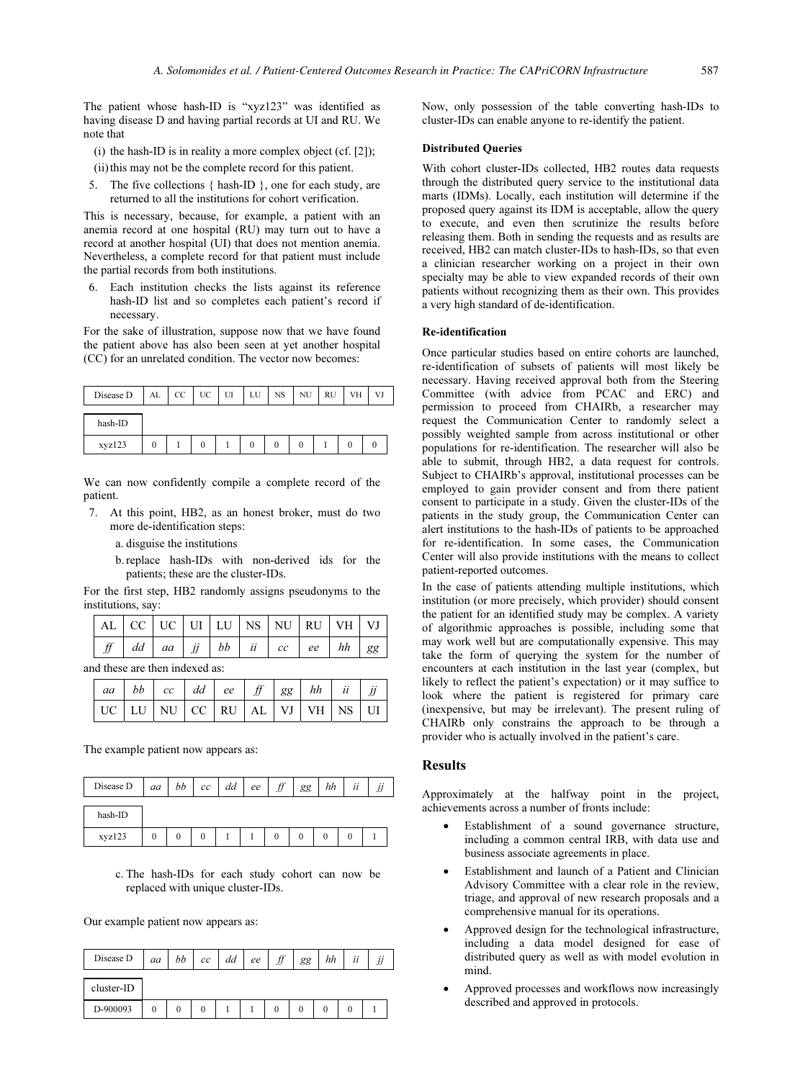The patient whose hash-ID is "xyz123" was identified as having disease D and having partial records at UI and RU. We note that

(i) the hash-ID is in reality a more complex object (cf. [2]);

(ii) this may not be the complete record for this patient.

5. The five collections { hash-ID }, one for each study, are returned to all the institutions for cohort verification.

This is necessary, because, for example, a patient with an anemia record at one hospital (RU) may turn out to have a record at another hospital (UI) that does not mention anemia. Nevertheless, a complete record for that patient must include the partial records from both institutions.

6. Each institution checks the lists against its reference hash-ID list and so completes each patient's record if necessary.

For the sake of illustration, suppose now that we have found the patient above has also been seen at yet another hospital (CC) for an unrelated condition. The vector now becomes:

| Disease D | AL | $_{\rm CC}$ | UC | TП<br>u | LU | <b>NS</b> | NU | RU | VH | VJ |
|-----------|----|-------------|----|---------|----|-----------|----|----|----|----|
| hash-ID   |    |             |    |         |    |           |    |    |    |    |
| xyz123    | 0  |             | 0  |         |    |           |    |    |    |    |

We can now confidently compile a complete record of the patient.

- 7. At this point, HB2, as an honest broker, must do two more de-identification steps:
	- a. disguise the institutions
	- b.replace hash-IDs with non-derived ids for the patients; these are the cluster-IDs.

For the first step, HB2 randomly assigns pseudonyms to the institutions, say:

|  |  |  |  | $AL$ CC UC UI LU NS NU RU VH VJ                                             |  |
|--|--|--|--|-----------------------------------------------------------------------------|--|
|  |  |  |  | $f \mid dd \mid aa \mid jj \mid bb \mid ii \mid cc \mid ee \mid hh \mid gg$ |  |

and these are then indexed as:

|  | aa   bb   cc   dd   ee   ff   gg   hh   ii   jj |  |  |  |  |
|--|-------------------------------------------------|--|--|--|--|
|  | UC LU NU CC RU AL VI VH NS UI                   |  |  |  |  |

The example patient now appears as:

| Disease D | aa           | bb       | cc | dd | ee | H<br>JJ | gg | hh | ii |  |
|-----------|--------------|----------|----|----|----|---------|----|----|----|--|
| hash-ID   |              |          |    |    |    |         |    |    |    |  |
| xyz123    | $\mathbf{0}$ | $\Omega$ | 0  |    |    |         |    |    |    |  |

c. The hash-IDs for each study cohort can now be replaced with unique cluster-IDs.

Our example patient now appears as:

| Disease D  | aa | bb | cc | dd | ee | f f<br>JJ | gg | hh | ii | $\cdot$ . |
|------------|----|----|----|----|----|-----------|----|----|----|-----------|
| cluster-ID |    |    |    |    |    |           |    |    |    |           |
| D-900093   |    |    |    |    |    |           |    |    |    |           |

Now, only possession of the table converting hash-IDs to cluster-IDs can enable anyone to re-identify the patient.

#### Distributed Queries

With cohort cluster-IDs collected, HB2 routes data requests through the distributed query service to the institutional data marts (IDMs). Locally, each institution will determine if the proposed query against its IDM is acceptable, allow the query to execute, and even then scrutinize the results before releasing them. Both in sending the requests and as results are received, HB2 can match cluster-IDs to hash-IDs, so that even a clinician researcher working on a project in their own specialty may be able to view expanded records of their own patients without recognizing them as their own. This provides a very high standard of de-identification.

### Re-identification

Once particular studies based on entire cohorts are launched, re-identification of subsets of patients will most likely be necessary. Having received approval both from the Steering Committee (with advice from PCAC and ERC) and permission to proceed from CHAIRb, a researcher may request the Communication Center to randomly select a possibly weighted sample from across institutional or other populations for re-identification. The researcher will also be able to submit, through HB2, a data request for controls. Subject to CHAIRb's approval, institutional processes can be employed to gain provider consent and from there patient consent to participate in a study. Given the cluster-IDs of the patients in the study group, the Communication Center can alert institutions to the hash-IDs of patients to be approached for re-identification. In some cases, the Communication Center will also provide institutions with the means to collect patient-reported outcomes.

In the case of patients attending multiple institutions, which institution (or more precisely, which provider) should consent the patient for an identified study may be complex. A variety of algorithmic approaches is possible, including some that may work well but are computationally expensive. This may take the form of querying the system for the number of encounters at each institution in the last year (complex, but likely to reflect the patient's expectation) or it may suffice to look where the patient is registered for primary care (inexpensive, but may be irrelevant). The present ruling of CHAIRb only constrains the approach to be through a provider who is actually involved in the patient's care.

#### Results

Approximately at the halfway point in the project, achievements across a number of fronts include:

- • Establishment of a sound governance structure, including a common central IRB, with data use and business associate agreements in place.
- • Establishment and launch of a Patient and Clinician Advisory Committee with a clear role in the review, triage, and approval of new research proposals and a comprehensive manual for its operations.
- • Approved design for the technological infrastructure, including a data model designed for ease of distributed query as well as with model evolution in mind.
- • Approved processes and workflows now increasingly described and approved in protocols.